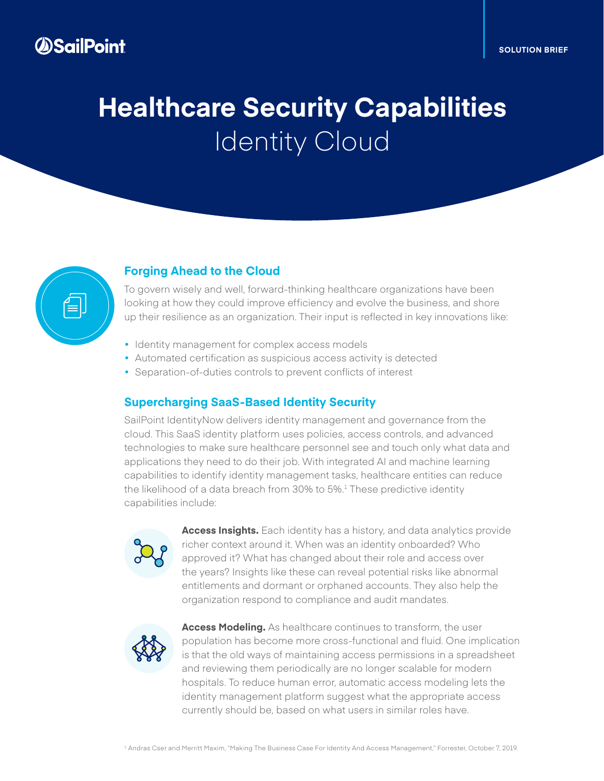# **Healthcare Security Capabilities**  Identity Cloud



### **Forging Ahead to the Cloud**

To govern wisely and well, forward-thinking healthcare organizations have been looking at how they could improve efficiency and evolve the business, and shore up their resilience as an organization. Their input is reflected in key innovations like:

- **•** Identity management for complex access models
- **•** Automated certification as suspicious access activity is detected
- **•** Separation-of-duties controls to prevent conflicts of interest

#### **Supercharging SaaS-Based Identity Security**

SailPoint IdentityNow delivers identity management and governance from the cloud. This SaaS identity platform uses policies, access controls, and advanced technologies to make sure healthcare personnel see and touch only what data and applications they need to do their job. With integrated AI and machine learning capabilities to identify identity management tasks, healthcare entities can reduce the likelihood of a data breach from  $30\%$  to  $5\%$ <sup>1</sup> These predictive identity capabilities include:



**Access Insights.** Each identity has a history, and data analytics provide richer context around it. When was an identity onboarded? Who approved it? What has changed about their role and access over the years? Insights like these can reveal potential risks like abnormal entitlements and dormant or orphaned accounts. They also help the organization respond to compliance and audit mandates.



**Access Modeling.** As healthcare continues to transform, the user population has become more cross-functional and fluid. One implication is that the old ways of maintaining access permissions in a spreadsheet and reviewing them periodically are no longer scalable for modern hospitals. To reduce human error, automatic access modeling lets the identity management platform suggest what the appropriate access currently should be, based on what users in similar roles have.